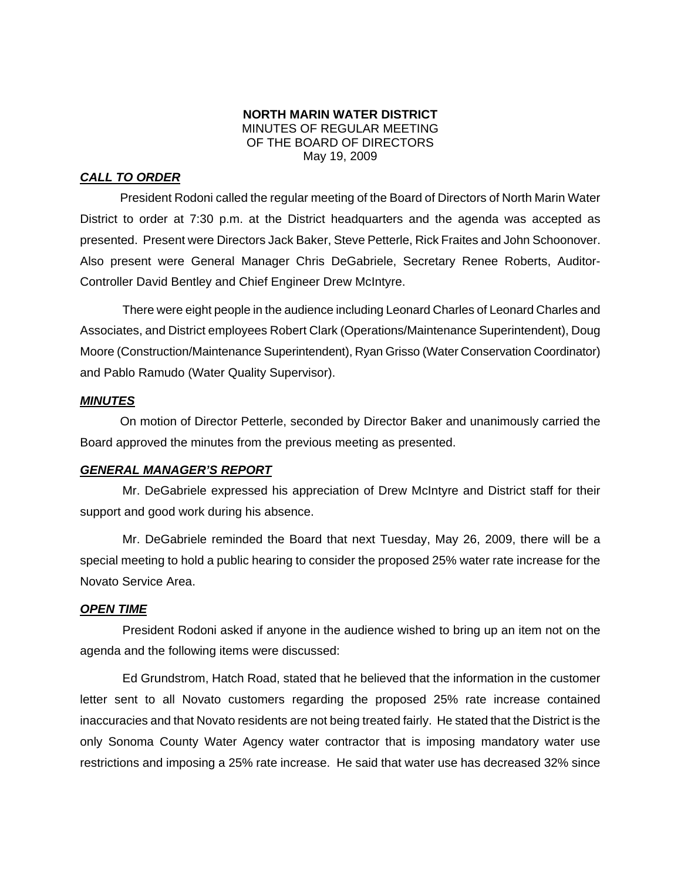#### **NORTH MARIN WATER DISTRICT**  MINUTES OF REGULAR MEETING OF THE BOARD OF DIRECTORS May 19, 2009

## *CALL TO ORDER*

President Rodoni called the regular meeting of the Board of Directors of North Marin Water District to order at 7:30 p.m. at the District headquarters and the agenda was accepted as presented. Present were Directors Jack Baker, Steve Petterle, Rick Fraites and John Schoonover. Also present were General Manager Chris DeGabriele, Secretary Renee Roberts, Auditor-Controller David Bentley and Chief Engineer Drew McIntyre.

There were eight people in the audience including Leonard Charles of Leonard Charles and Associates, and District employees Robert Clark (Operations/Maintenance Superintendent), Doug Moore (Construction/Maintenance Superintendent), Ryan Grisso (Water Conservation Coordinator) and Pablo Ramudo (Water Quality Supervisor).

#### *MINUTES*

 On motion of Director Petterle, seconded by Director Baker and unanimously carried the Board approved the minutes from the previous meeting as presented.

#### *GENERAL MANAGER'S REPORT*

Mr. DeGabriele expressed his appreciation of Drew McIntyre and District staff for their support and good work during his absence.

Mr. DeGabriele reminded the Board that next Tuesday, May 26, 2009, there will be a special meeting to hold a public hearing to consider the proposed 25% water rate increase for the Novato Service Area.

#### *OPEN TIME*

President Rodoni asked if anyone in the audience wished to bring up an item not on the agenda and the following items were discussed:

Ed Grundstrom, Hatch Road, stated that he believed that the information in the customer letter sent to all Novato customers regarding the proposed 25% rate increase contained inaccuracies and that Novato residents are not being treated fairly. He stated that the District is the only Sonoma County Water Agency water contractor that is imposing mandatory water use restrictions and imposing a 25% rate increase. He said that water use has decreased 32% since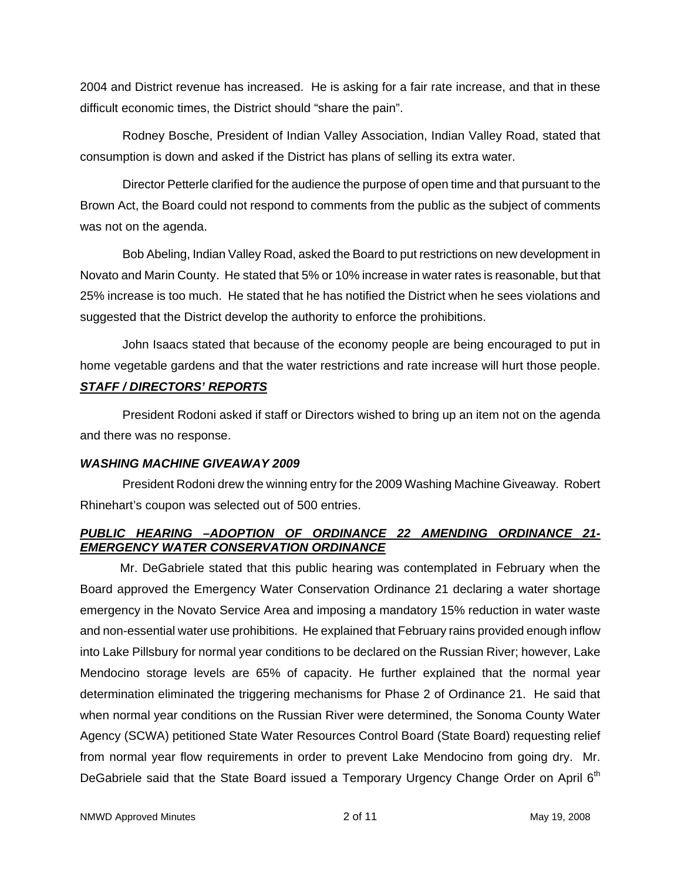2004 and District revenue has increased. He is asking for a fair rate increase, and that in these difficult economic times, the District should "share the pain".

Rodney Bosche, President of Indian Valley Association, Indian Valley Road, stated that consumption is down and asked if the District has plans of selling its extra water.

Director Petterle clarified for the audience the purpose of open time and that pursuant to the Brown Act, the Board could not respond to comments from the public as the subject of comments was not on the agenda.

Bob Abeling, Indian Valley Road, asked the Board to put restrictions on new development in Novato and Marin County. He stated that 5% or 10% increase in water rates is reasonable, but that 25% increase is too much. He stated that he has notified the District when he sees violations and suggested that the District develop the authority to enforce the prohibitions.

John Isaacs stated that because of the economy people are being encouraged to put in home vegetable gardens and that the water restrictions and rate increase will hurt those people.

# *STAFF / DIRECTORS' REPORTS*

President Rodoni asked if staff or Directors wished to bring up an item not on the agenda and there was no response.

# *WASHING MACHINE GIVEAWAY 2009*

President Rodoni drew the winning entry for the 2009 Washing Machine Giveaway. Robert Rhinehart's coupon was selected out of 500 entries.

# *PUBLIC HEARING –ADOPTION OF ORDINANCE 22 AMENDING ORDINANCE 21- EMERGENCY WATER CONSERVATION ORDINANCE*

 Mr. DeGabriele stated that this public hearing was contemplated in February when the Board approved the Emergency Water Conservation Ordinance 21 declaring a water shortage emergency in the Novato Service Area and imposing a mandatory 15% reduction in water waste and non-essential water use prohibitions. He explained that February rains provided enough inflow into Lake Pillsbury for normal year conditions to be declared on the Russian River; however, Lake Mendocino storage levels are 65% of capacity. He further explained that the normal year determination eliminated the triggering mechanisms for Phase 2 of Ordinance 21. He said that when normal year conditions on the Russian River were determined, the Sonoma County Water Agency (SCWA) petitioned State Water Resources Control Board (State Board) requesting relief from normal year flow requirements in order to prevent Lake Mendocino from going dry. Mr. DeGabriele said that the State Board issued a Temporary Urgency Change Order on April 6<sup>th</sup>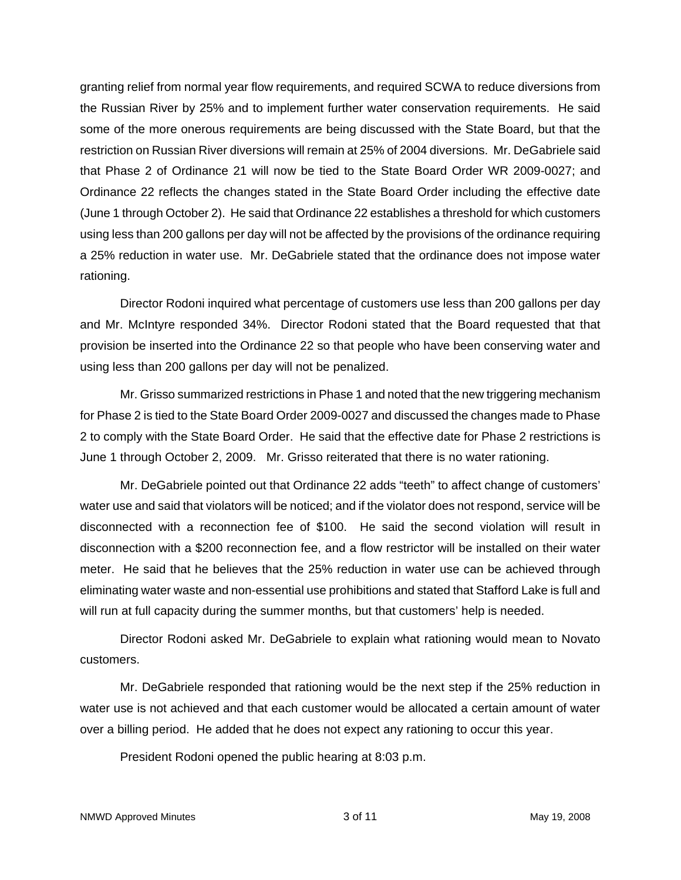granting relief from normal year flow requirements, and required SCWA to reduce diversions from the Russian River by 25% and to implement further water conservation requirements. He said some of the more onerous requirements are being discussed with the State Board, but that the restriction on Russian River diversions will remain at 25% of 2004 diversions. Mr. DeGabriele said that Phase 2 of Ordinance 21 will now be tied to the State Board Order WR 2009-0027; and Ordinance 22 reflects the changes stated in the State Board Order including the effective date (June 1 through October 2). He said that Ordinance 22 establishes a threshold for which customers using less than 200 gallons per day will not be affected by the provisions of the ordinance requiring a 25% reduction in water use. Mr. DeGabriele stated that the ordinance does not impose water rationing.

 Director Rodoni inquired what percentage of customers use less than 200 gallons per day and Mr. McIntyre responded 34%. Director Rodoni stated that the Board requested that that provision be inserted into the Ordinance 22 so that people who have been conserving water and using less than 200 gallons per day will not be penalized.

 Mr. Grisso summarized restrictions in Phase 1 and noted that the new triggering mechanism for Phase 2 is tied to the State Board Order 2009-0027 and discussed the changes made to Phase 2 to comply with the State Board Order. He said that the effective date for Phase 2 restrictions is June 1 through October 2, 2009. Mr. Grisso reiterated that there is no water rationing.

 Mr. DeGabriele pointed out that Ordinance 22 adds "teeth" to affect change of customers' water use and said that violators will be noticed; and if the violator does not respond, service will be disconnected with a reconnection fee of \$100. He said the second violation will result in disconnection with a \$200 reconnection fee, and a flow restrictor will be installed on their water meter. He said that he believes that the 25% reduction in water use can be achieved through eliminating water waste and non-essential use prohibitions and stated that Stafford Lake is full and will run at full capacity during the summer months, but that customers' help is needed.

 Director Rodoni asked Mr. DeGabriele to explain what rationing would mean to Novato customers.

 Mr. DeGabriele responded that rationing would be the next step if the 25% reduction in water use is not achieved and that each customer would be allocated a certain amount of water over a billing period. He added that he does not expect any rationing to occur this year.

President Rodoni opened the public hearing at 8:03 p.m.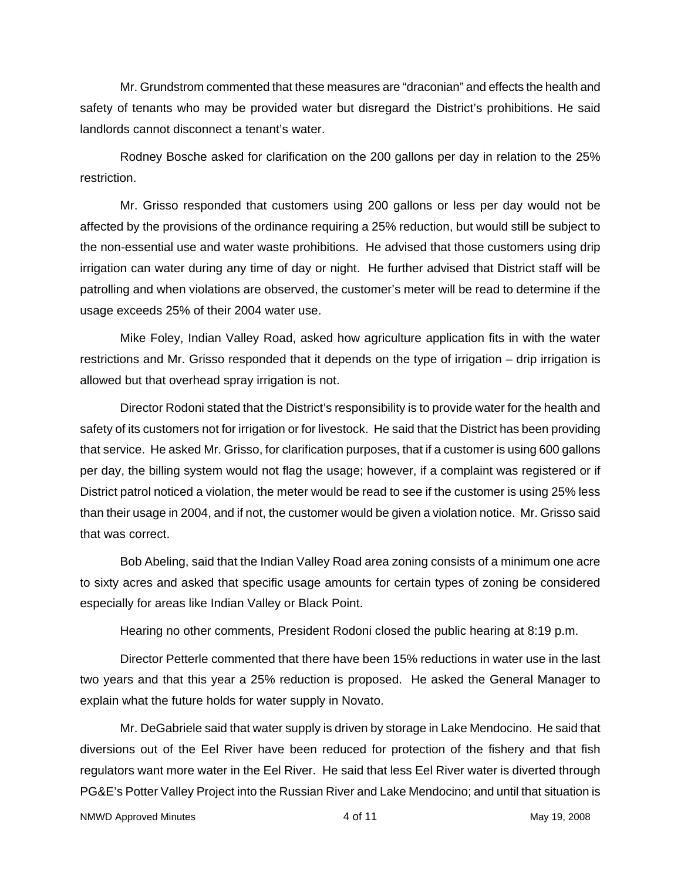Mr. Grundstrom commented that these measures are "draconian" and effects the health and safety of tenants who may be provided water but disregard the District's prohibitions. He said landlords cannot disconnect a tenant's water.

 Rodney Bosche asked for clarification on the 200 gallons per day in relation to the 25% restriction.

 Mr. Grisso responded that customers using 200 gallons or less per day would not be affected by the provisions of the ordinance requiring a 25% reduction, but would still be subject to the non-essential use and water waste prohibitions. He advised that those customers using drip irrigation can water during any time of day or night. He further advised that District staff will be patrolling and when violations are observed, the customer's meter will be read to determine if the usage exceeds 25% of their 2004 water use.

 Mike Foley, Indian Valley Road, asked how agriculture application fits in with the water restrictions and Mr. Grisso responded that it depends on the type of irrigation – drip irrigation is allowed but that overhead spray irrigation is not.

 Director Rodoni stated that the District's responsibility is to provide water for the health and safety of its customers not for irrigation or for livestock. He said that the District has been providing that service. He asked Mr. Grisso, for clarification purposes, that if a customer is using 600 gallons per day, the billing system would not flag the usage; however, if a complaint was registered or if District patrol noticed a violation, the meter would be read to see if the customer is using 25% less than their usage in 2004, and if not, the customer would be given a violation notice. Mr. Grisso said that was correct.

 Bob Abeling, said that the Indian Valley Road area zoning consists of a minimum one acre to sixty acres and asked that specific usage amounts for certain types of zoning be considered especially for areas like Indian Valley or Black Point.

Hearing no other comments, President Rodoni closed the public hearing at 8:19 p.m.

 Director Petterle commented that there have been 15% reductions in water use in the last two years and that this year a 25% reduction is proposed. He asked the General Manager to explain what the future holds for water supply in Novato.

 Mr. DeGabriele said that water supply is driven by storage in Lake Mendocino. He said that diversions out of the Eel River have been reduced for protection of the fishery and that fish regulators want more water in the Eel River. He said that less Eel River water is diverted through PG&E's Potter Valley Project into the Russian River and Lake Mendocino; and until that situation is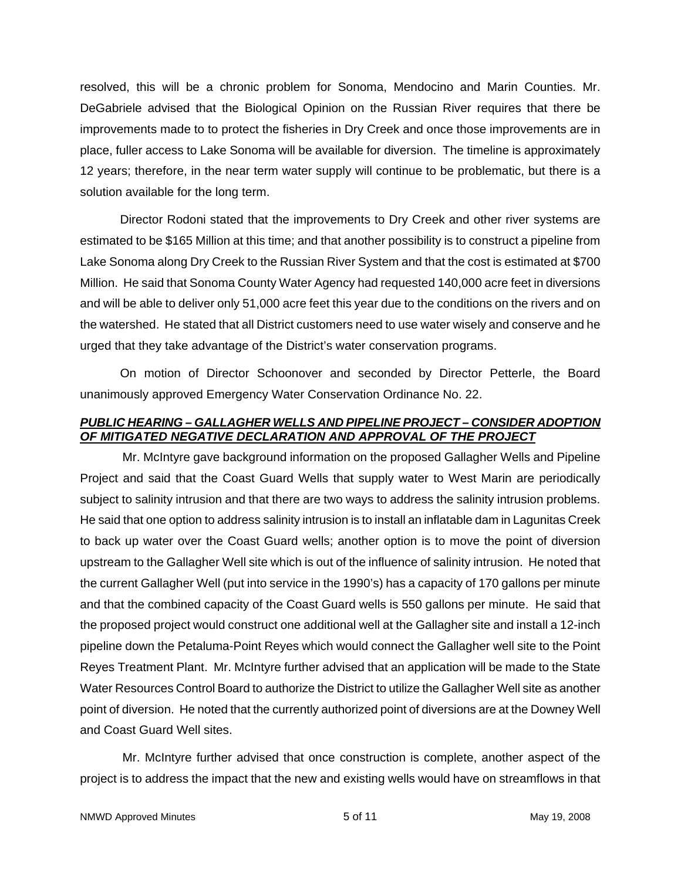resolved, this will be a chronic problem for Sonoma, Mendocino and Marin Counties. Mr. DeGabriele advised that the Biological Opinion on the Russian River requires that there be improvements made to to protect the fisheries in Dry Creek and once those improvements are in place, fuller access to Lake Sonoma will be available for diversion. The timeline is approximately 12 years; therefore, in the near term water supply will continue to be problematic, but there is a solution available for the long term.

 Director Rodoni stated that the improvements to Dry Creek and other river systems are estimated to be \$165 Million at this time; and that another possibility is to construct a pipeline from Lake Sonoma along Dry Creek to the Russian River System and that the cost is estimated at \$700 Million. He said that Sonoma County Water Agency had requested 140,000 acre feet in diversions and will be able to deliver only 51,000 acre feet this year due to the conditions on the rivers and on the watershed. He stated that all District customers need to use water wisely and conserve and he urged that they take advantage of the District's water conservation programs.

 On motion of Director Schoonover and seconded by Director Petterle, the Board unanimously approved Emergency Water Conservation Ordinance No. 22.

## *PUBLIC HEARING – GALLAGHER WELLS AND PIPELINE PROJECT – CONSIDER ADOPTION OF MITIGATED NEGATIVE DECLARATION AND APPROVAL OF THE PROJECT*

Mr. McIntyre gave background information on the proposed Gallagher Wells and Pipeline Project and said that the Coast Guard Wells that supply water to West Marin are periodically subject to salinity intrusion and that there are two ways to address the salinity intrusion problems. He said that one option to address salinity intrusion is to install an inflatable dam in Lagunitas Creek to back up water over the Coast Guard wells; another option is to move the point of diversion upstream to the Gallagher Well site which is out of the influence of salinity intrusion. He noted that the current Gallagher Well (put into service in the 1990's) has a capacity of 170 gallons per minute and that the combined capacity of the Coast Guard wells is 550 gallons per minute. He said that the proposed project would construct one additional well at the Gallagher site and install a 12-inch pipeline down the Petaluma-Point Reyes which would connect the Gallagher well site to the Point Reyes Treatment Plant. Mr. McIntyre further advised that an application will be made to the State Water Resources Control Board to authorize the District to utilize the Gallagher Well site as another point of diversion. He noted that the currently authorized point of diversions are at the Downey Well and Coast Guard Well sites.

Mr. McIntyre further advised that once construction is complete, another aspect of the project is to address the impact that the new and existing wells would have on streamflows in that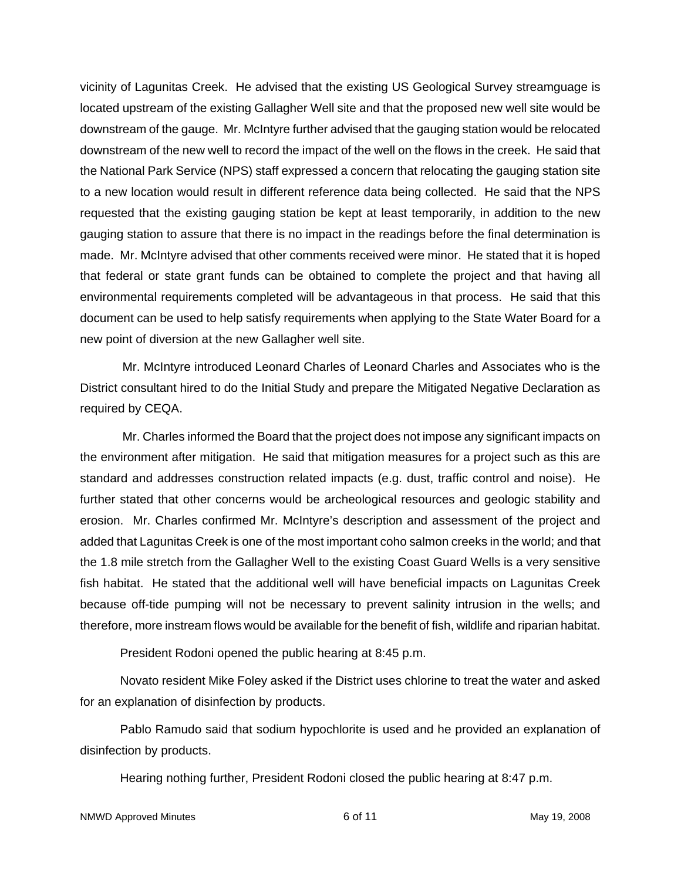vicinity of Lagunitas Creek. He advised that the existing US Geological Survey streamguage is located upstream of the existing Gallagher Well site and that the proposed new well site would be downstream of the gauge. Mr. McIntyre further advised that the gauging station would be relocated downstream of the new well to record the impact of the well on the flows in the creek. He said that the National Park Service (NPS) staff expressed a concern that relocating the gauging station site to a new location would result in different reference data being collected. He said that the NPS requested that the existing gauging station be kept at least temporarily, in addition to the new gauging station to assure that there is no impact in the readings before the final determination is made. Mr. McIntyre advised that other comments received were minor. He stated that it is hoped that federal or state grant funds can be obtained to complete the project and that having all environmental requirements completed will be advantageous in that process. He said that this document can be used to help satisfy requirements when applying to the State Water Board for a new point of diversion at the new Gallagher well site.

Mr. McIntyre introduced Leonard Charles of Leonard Charles and Associates who is the District consultant hired to do the Initial Study and prepare the Mitigated Negative Declaration as required by CEQA.

Mr. Charles informed the Board that the project does not impose any significant impacts on the environment after mitigation. He said that mitigation measures for a project such as this are standard and addresses construction related impacts (e.g. dust, traffic control and noise). He further stated that other concerns would be archeological resources and geologic stability and erosion. Mr. Charles confirmed Mr. McIntyre's description and assessment of the project and added that Lagunitas Creek is one of the most important coho salmon creeks in the world; and that the 1.8 mile stretch from the Gallagher Well to the existing Coast Guard Wells is a very sensitive fish habitat. He stated that the additional well will have beneficial impacts on Lagunitas Creek because off-tide pumping will not be necessary to prevent salinity intrusion in the wells; and therefore, more instream flows would be available for the benefit of fish, wildlife and riparian habitat.

President Rodoni opened the public hearing at 8:45 p.m.

 Novato resident Mike Foley asked if the District uses chlorine to treat the water and asked for an explanation of disinfection by products.

 Pablo Ramudo said that sodium hypochlorite is used and he provided an explanation of disinfection by products.

Hearing nothing further, President Rodoni closed the public hearing at 8:47 p.m.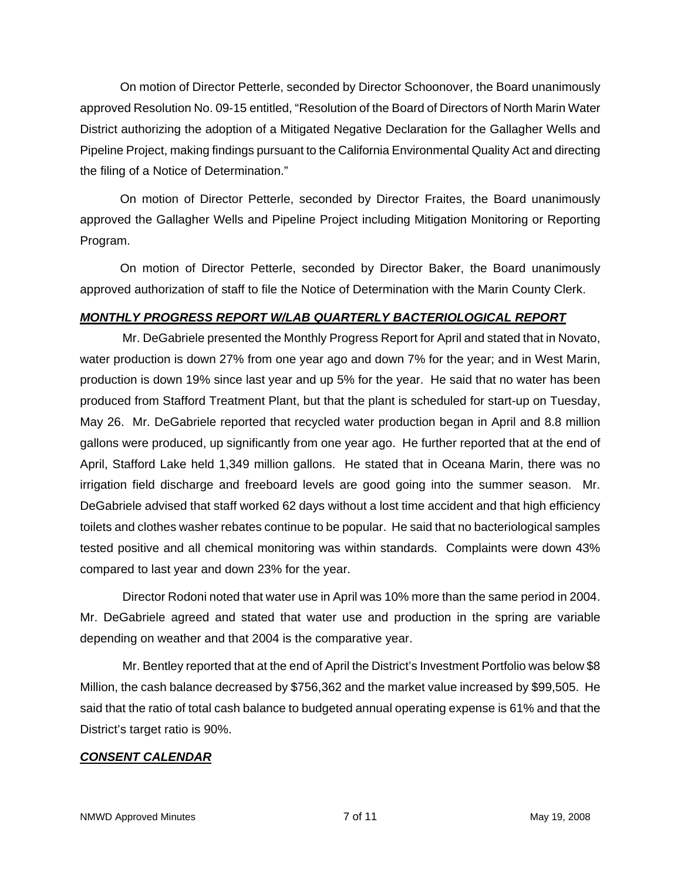On motion of Director Petterle, seconded by Director Schoonover, the Board unanimously approved Resolution No. 09-15 entitled, "Resolution of the Board of Directors of North Marin Water District authorizing the adoption of a Mitigated Negative Declaration for the Gallagher Wells and Pipeline Project, making findings pursuant to the California Environmental Quality Act and directing the filing of a Notice of Determination."

 On motion of Director Petterle, seconded by Director Fraites, the Board unanimously approved the Gallagher Wells and Pipeline Project including Mitigation Monitoring or Reporting Program.

 On motion of Director Petterle, seconded by Director Baker, the Board unanimously approved authorization of staff to file the Notice of Determination with the Marin County Clerk.

# *MONTHLY PROGRESS REPORT W/LAB QUARTERLY BACTERIOLOGICAL REPORT*

Mr. DeGabriele presented the Monthly Progress Report for April and stated that in Novato, water production is down 27% from one year ago and down 7% for the year; and in West Marin, production is down 19% since last year and up 5% for the year. He said that no water has been produced from Stafford Treatment Plant, but that the plant is scheduled for start-up on Tuesday, May 26. Mr. DeGabriele reported that recycled water production began in April and 8.8 million gallons were produced, up significantly from one year ago. He further reported that at the end of April, Stafford Lake held 1,349 million gallons. He stated that in Oceana Marin, there was no irrigation field discharge and freeboard levels are good going into the summer season. Mr. DeGabriele advised that staff worked 62 days without a lost time accident and that high efficiency toilets and clothes washer rebates continue to be popular. He said that no bacteriological samples tested positive and all chemical monitoring was within standards. Complaints were down 43% compared to last year and down 23% for the year.

Director Rodoni noted that water use in April was 10% more than the same period in 2004. Mr. DeGabriele agreed and stated that water use and production in the spring are variable depending on weather and that 2004 is the comparative year.

Mr. Bentley reported that at the end of April the District's Investment Portfolio was below \$8 Million, the cash balance decreased by \$756,362 and the market value increased by \$99,505. He said that the ratio of total cash balance to budgeted annual operating expense is 61% and that the District's target ratio is 90%.

# *CONSENT CALENDAR*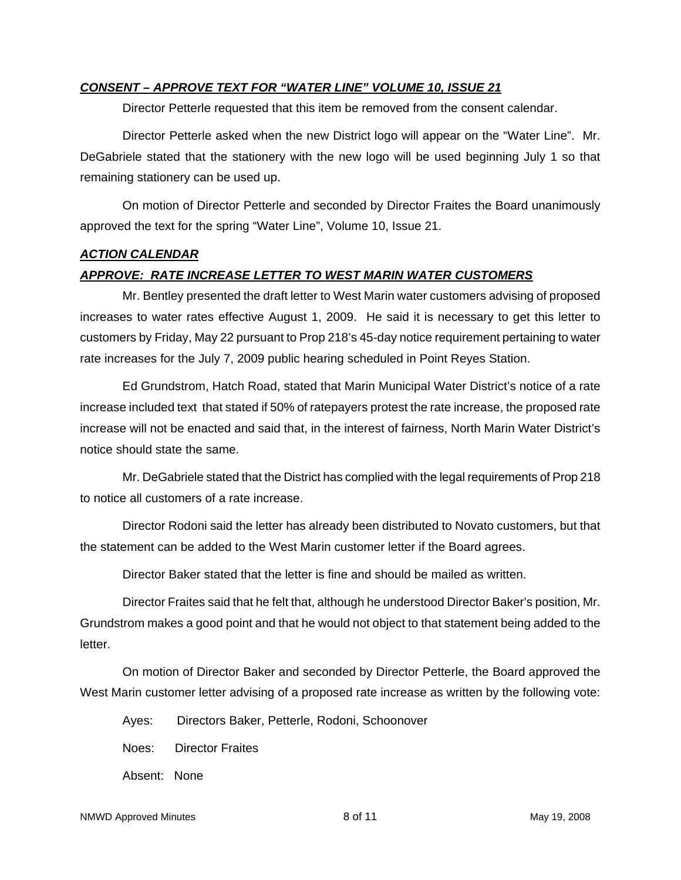#### *CONSENT – APPROVE TEXT FOR "WATER LINE" VOLUME 10, ISSUE 21*

Director Petterle requested that this item be removed from the consent calendar.

Director Petterle asked when the new District logo will appear on the "Water Line". Mr. DeGabriele stated that the stationery with the new logo will be used beginning July 1 so that remaining stationery can be used up.

On motion of Director Petterle and seconded by Director Fraites the Board unanimously approved the text for the spring "Water Line", Volume 10, Issue 21.

#### *ACTION CALENDAR*

### *APPROVE: RATE INCREASE LETTER TO WEST MARIN WATER CUSTOMERS*

Mr. Bentley presented the draft letter to West Marin water customers advising of proposed increases to water rates effective August 1, 2009. He said it is necessary to get this letter to customers by Friday, May 22 pursuant to Prop 218's 45-day notice requirement pertaining to water rate increases for the July 7, 2009 public hearing scheduled in Point Reyes Station.

Ed Grundstrom, Hatch Road, stated that Marin Municipal Water District's notice of a rate increase included text that stated if 50% of ratepayers protest the rate increase, the proposed rate increase will not be enacted and said that, in the interest of fairness, North Marin Water District's notice should state the same.

Mr. DeGabriele stated that the District has complied with the legal requirements of Prop 218 to notice all customers of a rate increase.

Director Rodoni said the letter has already been distributed to Novato customers, but that the statement can be added to the West Marin customer letter if the Board agrees.

Director Baker stated that the letter is fine and should be mailed as written.

Director Fraites said that he felt that, although he understood Director Baker's position, Mr. Grundstrom makes a good point and that he would not object to that statement being added to the letter.

On motion of Director Baker and seconded by Director Petterle, the Board approved the West Marin customer letter advising of a proposed rate increase as written by the following vote:

Ayes: Directors Baker, Petterle, Rodoni, Schoonover Noes: Director Fraites Absent: None

NMWD Approved Minutes **8 of 11** May 19, 2008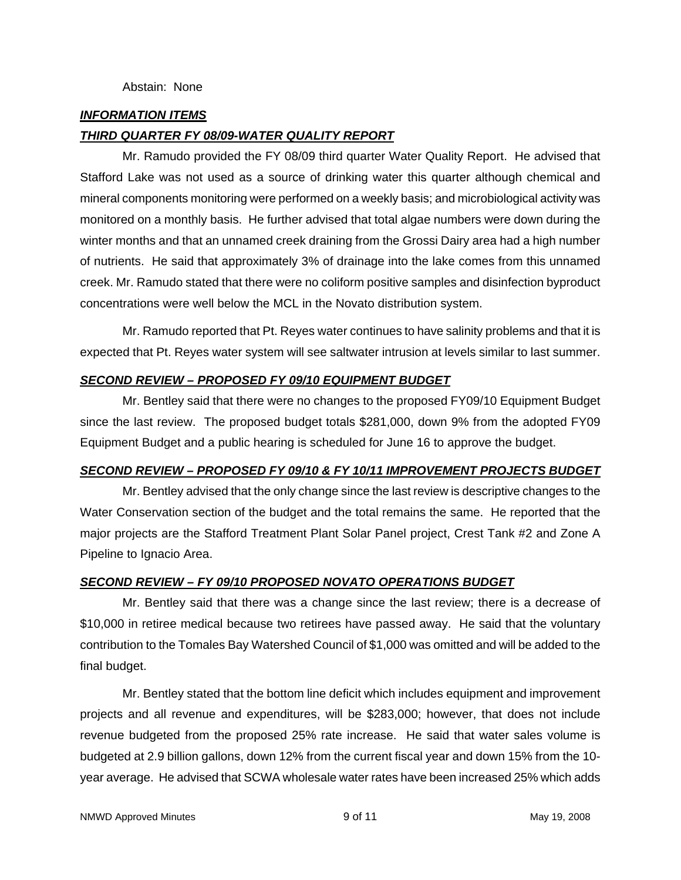# *INFORMATION ITEMS*

## *THIRD QUARTER FY 08/09-WATER QUALITY REPORT*

Mr. Ramudo provided the FY 08/09 third quarter Water Quality Report. He advised that Stafford Lake was not used as a source of drinking water this quarter although chemical and mineral components monitoring were performed on a weekly basis; and microbiological activity was monitored on a monthly basis. He further advised that total algae numbers were down during the winter months and that an unnamed creek draining from the Grossi Dairy area had a high number of nutrients. He said that approximately 3% of drainage into the lake comes from this unnamed creek. Mr. Ramudo stated that there were no coliform positive samples and disinfection byproduct concentrations were well below the MCL in the Novato distribution system.

Mr. Ramudo reported that Pt. Reyes water continues to have salinity problems and that it is expected that Pt. Reyes water system will see saltwater intrusion at levels similar to last summer.

### *SECOND REVIEW – PROPOSED FY 09/10 EQUIPMENT BUDGET*

Mr. Bentley said that there were no changes to the proposed FY09/10 Equipment Budget since the last review. The proposed budget totals \$281,000, down 9% from the adopted FY09 Equipment Budget and a public hearing is scheduled for June 16 to approve the budget.

### *SECOND REVIEW – PROPOSED FY 09/10 & FY 10/11 IMPROVEMENT PROJECTS BUDGET*

Mr. Bentley advised that the only change since the last review is descriptive changes to the Water Conservation section of the budget and the total remains the same. He reported that the major projects are the Stafford Treatment Plant Solar Panel project, Crest Tank #2 and Zone A Pipeline to Ignacio Area.

# *SECOND REVIEW – FY 09/10 PROPOSED NOVATO OPERATIONS BUDGET*

Mr. Bentley said that there was a change since the last review; there is a decrease of \$10,000 in retiree medical because two retirees have passed away. He said that the voluntary contribution to the Tomales Bay Watershed Council of \$1,000 was omitted and will be added to the final budget.

Mr. Bentley stated that the bottom line deficit which includes equipment and improvement projects and all revenue and expenditures, will be \$283,000; however, that does not include revenue budgeted from the proposed 25% rate increase. He said that water sales volume is budgeted at 2.9 billion gallons, down 12% from the current fiscal year and down 15% from the 10 year average. He advised that SCWA wholesale water rates have been increased 25% which adds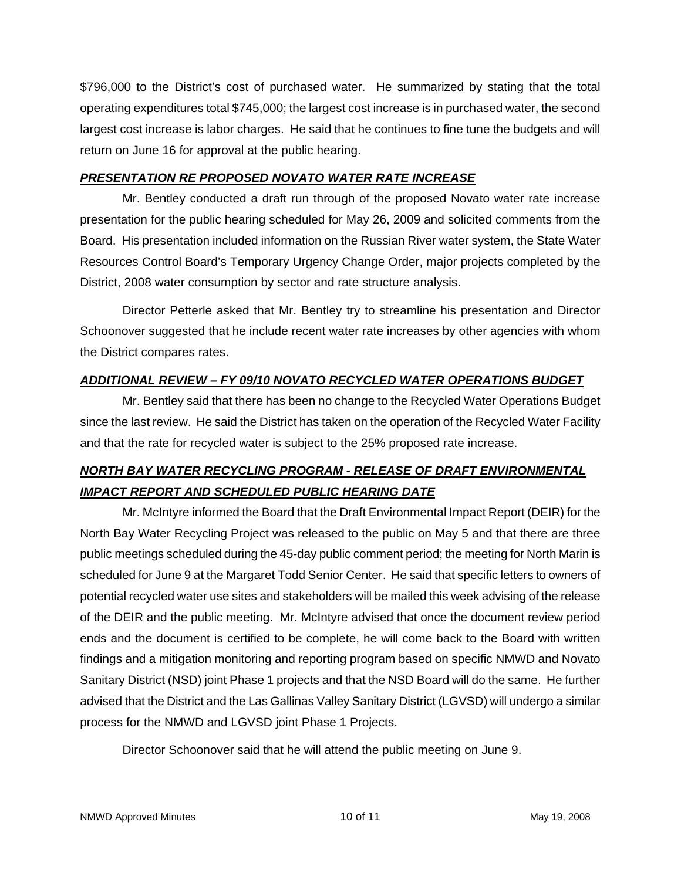\$796,000 to the District's cost of purchased water. He summarized by stating that the total operating expenditures total \$745,000; the largest cost increase is in purchased water, the second largest cost increase is labor charges. He said that he continues to fine tune the budgets and will return on June 16 for approval at the public hearing.

# *PRESENTATION RE PROPOSED NOVATO WATER RATE INCREASE*

Mr. Bentley conducted a draft run through of the proposed Novato water rate increase presentation for the public hearing scheduled for May 26, 2009 and solicited comments from the Board. His presentation included information on the Russian River water system, the State Water Resources Control Board's Temporary Urgency Change Order, major projects completed by the District, 2008 water consumption by sector and rate structure analysis.

Director Petterle asked that Mr. Bentley try to streamline his presentation and Director Schoonover suggested that he include recent water rate increases by other agencies with whom the District compares rates.

# *ADDITIONAL REVIEW – FY 09/10 NOVATO RECYCLED WATER OPERATIONS BUDGET*

Mr. Bentley said that there has been no change to the Recycled Water Operations Budget since the last review. He said the District has taken on the operation of the Recycled Water Facility and that the rate for recycled water is subject to the 25% proposed rate increase.

# *NORTH BAY WATER RECYCLING PROGRAM - RELEASE OF DRAFT ENVIRONMENTAL IMPACT REPORT AND SCHEDULED PUBLIC HEARING DATE*

Mr. McIntyre informed the Board that the Draft Environmental Impact Report (DEIR) for the North Bay Water Recycling Project was released to the public on May 5 and that there are three public meetings scheduled during the 45-day public comment period; the meeting for North Marin is scheduled for June 9 at the Margaret Todd Senior Center. He said that specific letters to owners of potential recycled water use sites and stakeholders will be mailed this week advising of the release of the DEIR and the public meeting. Mr. McIntyre advised that once the document review period ends and the document is certified to be complete, he will come back to the Board with written findings and a mitigation monitoring and reporting program based on specific NMWD and Novato Sanitary District (NSD) joint Phase 1 projects and that the NSD Board will do the same. He further advised that the District and the Las Gallinas Valley Sanitary District (LGVSD) will undergo a similar process for the NMWD and LGVSD joint Phase 1 Projects.

Director Schoonover said that he will attend the public meeting on June 9.